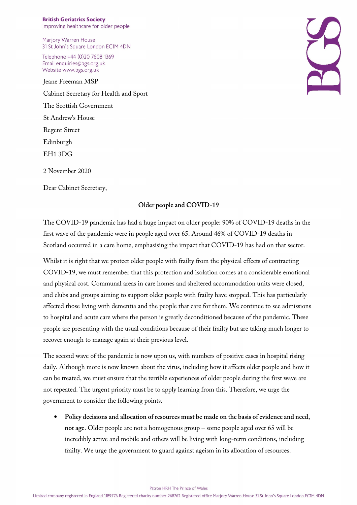**British Geriatrics Society** Improving healthcare for older people

Marjory Warren House 31 St John's Square London EC1M 4DN

Telephone +44 (0)20 7608 1369 Email enquiries@bgs.org.uk Website www.bgs.org.uk

Jeane Freeman MSP Cabinet Secretary for Health and Sport The Scottish Government St Andrew's House Regent Street Edinburgh EH1 3DG 2 November 2020

Dear Cabinet Secretary,

## **Older people and COVID-19**

The COVID-19 pandemic has had a huge impact on older people: 90% of COVID-19 deaths in the first wave of the pandemic were in people aged over 65. Around 46% of COVID-19 deaths in Scotland occurred in a care home, emphasising the impact that COVID-19 has had on that sector.

Whilst it is right that we protect older people with frailty from the physical effects of contracting COVID-19, we must remember that this protection and isolation comes at a considerable emotional and physical cost. Communal areas in care homes and sheltered accommodation units were closed, and clubs and groups aiming to support older people with frailty have stopped. This has particularly affected those living with dementia and the people that care for them. We continue to see admissions to hospital and acute care where the person is greatly deconditioned because of the pandemic. These people are presenting with the usual conditions because of their frailty but are taking much longer to recover enough to manage again at their previous level.

The second wave of the pandemic is now upon us, with numbers of positive cases in hospital rising daily. Although more is now known about the virus, including how it affects older people and how it can be treated, we must ensure that the terrible experiences of older people during the first wave are not repeated. The urgent priority must be to apply learning from this. Therefore, we urge the government to consider the following points.

• **Policy decisions and allocation of resources must be made on the basis of evidence and need, not age**. Older people are not a homogenous group – some people aged over 65 will be incredibly active and mobile and others will be living with long-term conditions, including frailty. We urge the government to guard against ageism in its allocation of resources.

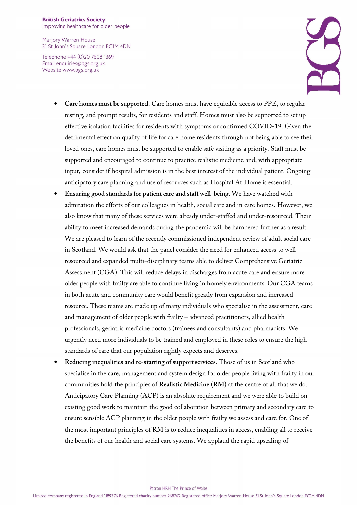## **British Geriatrics Society** Improving healthcare for older people

Marjory Warren House 31 St John's Square London EC1M 4DN

Telephone +44 (0)20 7608 1369 Email enquiries@bgs.org.uk Website www.bgs.org.uk



- **Care homes must be supported.** Care homes must have equitable access to PPE, to regular testing, and prompt results, for residents and staff. Homes must also be supported to set up effective isolation facilities for residents with symptoms or confirmed COVID-19. Given the detrimental effect on quality of life for care home residents through not being able to see their loved ones, care homes must be supported to enable safe visiting as a priority. Staff must be supported and encouraged to continue to practice realistic medicine and, with appropriate input, consider if hospital admission is in the best interest of the individual patient. Ongoing anticipatory care planning and use of resources such as Hospital At Home is essential.
- **Ensuring good standards for patient care and staff well-being**. We have watched with admiration the efforts of our colleagues in health, social care and in care homes. However, we also know that many of these services were already under-staffed and under-resourced. Their ability to meet increased demands during the pandemic will be hampered further as a result. We are pleased to learn of the recently commissioned independent review of adult social care in Scotland. We would ask that the panel consider the need for enhanced access to wellresourced and expanded multi-disciplinary teams able to deliver Comprehensive Geriatric Assessment (CGA). This will reduce delays in discharges from acute care and ensure more older people with frailty are able to continue living in homely environments. Our CGA teams in both acute and community care would benefit greatly from expansion and increased resource. These teams are made up of many individuals who specialise in the assessment, care and management of older people with frailty – advanced practitioners, allied health professionals, geriatric medicine doctors (trainees and consultants) and pharmacists. We urgently need more individuals to be trained and employed in these roles to ensure the high standards of care that our population rightly expects and deserves.
- **Reducing inequalities and re-starting of support services**. Those of us in Scotland who specialise in the care, management and system design for older people living with frailty in our communities hold the principles of **Realistic Medicine (RM)** at the centre of all that we do. Anticipatory Care Planning (ACP) is an absolute requirement and we were able to build on existing good work to maintain the good collaboration between primary and secondary care to ensure sensible ACP planning in the older people with frailty we assess and care for. One of the most important principles of RM is to reduce inequalities in access, enabling all to receive the benefits of our health and social care systems. We applaud the rapid upscaling of